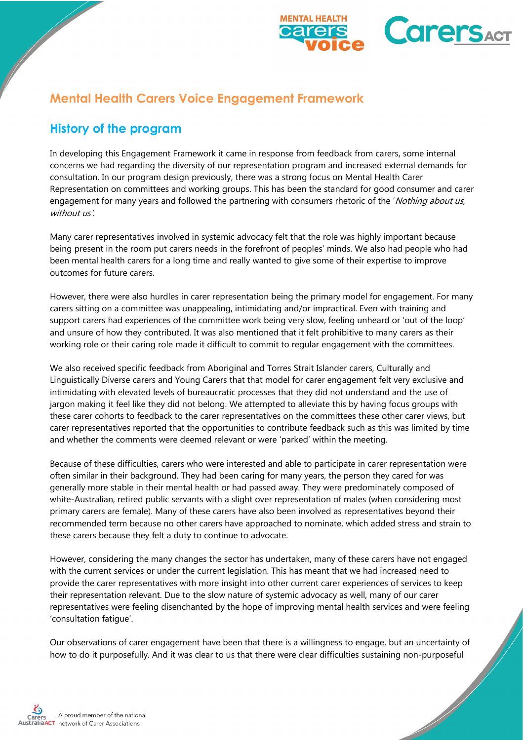

# **Mental Health Carers Voice Engagement Framework**

## **History of the program**

In developing this Engagement Framework it came in response from feedback from carers, some internal concerns we had regarding the diversity of our representation program and increased external demands for consultation. In our program design previously, there was a strong focus on Mental Health Carer Representation on committees and working groups. This has been the standard for good consumer and carer engagement for many years and followed the partnering with consumers rhetoric of the 'Nothing about us, without us'.

Many carer representatives involved in systemic advocacy felt that the role was highly important because being present in the room put carers needs in the forefront of peoples' minds. We also had people who had been mental health carers for a long time and really wanted to give some of their expertise to improve outcomes for future carers.

However, there were also hurdles in carer representation being the primary model for engagement. For many carers sitting on a committee was unappealing, intimidating and/or impractical. Even with training and support carers had experiences of the committee work being very slow, feeling unheard or 'out of the loop' and unsure of how they contributed. It was also mentioned that it felt prohibitive to many carers as their working role or their caring role made it difficult to commit to regular engagement with the committees.

We also received specific feedback from Aboriginal and Torres Strait Islander carers, Culturally and Linguistically Diverse carers and Young Carers that that model for carer engagement felt very exclusive and intimidating with elevated levels of bureaucratic processes that they did not understand and the use of jargon making it feel like they did not belong. We attempted to alleviate this by having focus groups with these carer cohorts to feedback to the carer representatives on the committees these other carer views, but carer representatives reported that the opportunities to contribute feedback such as this was limited by time and whether the comments were deemed relevant or were 'parked' within the meeting.

Because of these difficulties, carers who were interested and able to participate in carer representation were often similar in their background. They had been caring for many years, the person they cared for was generally more stable in their mental health or had passed away. They were predominately composed of white-Australian, retired public servants with a slight over representation of males (when considering most primary carers are female). Many of these carers have also been involved as representatives beyond their recommended term because no other carers have approached to nominate, which added stress and strain to these carers because they felt a duty to continue to advocate.

However, considering the many changes the sector has undertaken, many of these carers have not engaged with the current services or under the current legislation. This has meant that we had increased need to provide the carer representatives with more insight into other current carer experiences of services to keep their representation relevant. Due to the slow nature of systemic advocacy as well, many of our carer representatives were feeling disenchanted by the hope of improving mental health services and were feeling 'consultation fatigue'.

Our observations of carer engagement have been that there is a willingness to engage, but an uncertainty of how to do it purposefully. And it was clear to us that there were clear difficulties sustaining non-purposeful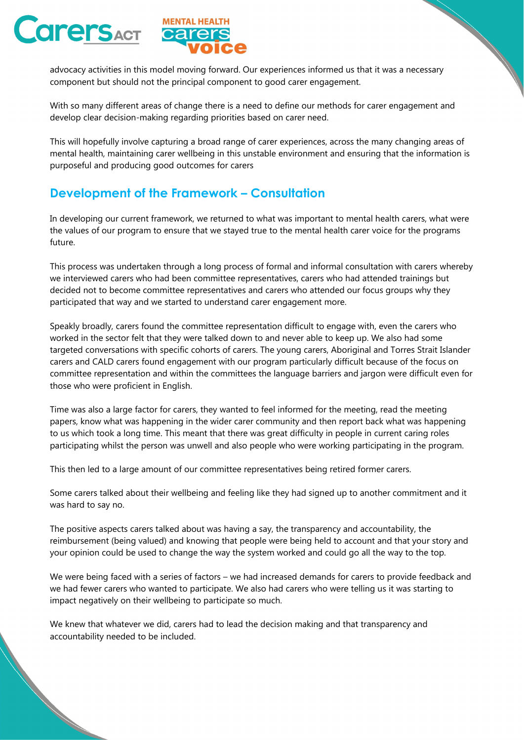



advocacy activities in this model moving forward. Our experiences informed us that it was a necessary component but should not the principal component to good carer engagement.

With so many different areas of change there is a need to define our methods for carer engagement and develop clear decision-making regarding priorities based on carer need.

This will hopefully involve capturing a broad range of carer experiences, across the many changing areas of mental health, maintaining carer wellbeing in this unstable environment and ensuring that the information is purposeful and producing good outcomes for carers

## **Development of the Framework – Consultation**

In developing our current framework, we returned to what was important to mental health carers, what were the values of our program to ensure that we stayed true to the mental health carer voice for the programs future.

This process was undertaken through a long process of formal and informal consultation with carers whereby we interviewed carers who had been committee representatives, carers who had attended trainings but decided not to become committee representatives and carers who attended our focus groups why they participated that way and we started to understand carer engagement more.

Speakly broadly, carers found the committee representation difficult to engage with, even the carers who worked in the sector felt that they were talked down to and never able to keep up. We also had some targeted conversations with specific cohorts of carers. The young carers, Aboriginal and Torres Strait Islander carers and CALD carers found engagement with our program particularly difficult because of the focus on committee representation and within the committees the language barriers and jargon were difficult even for those who were proficient in English.

Time was also a large factor for carers, they wanted to feel informed for the meeting, read the meeting papers, know what was happening in the wider carer community and then report back what was happening to us which took a long time. This meant that there was great difficulty in people in current caring roles participating whilst the person was unwell and also people who were working participating in the program.

This then led to a large amount of our committee representatives being retired former carers.

Some carers talked about their wellbeing and feeling like they had signed up to another commitment and it was hard to say no.

The positive aspects carers talked about was having a say, the transparency and accountability, the reimbursement (being valued) and knowing that people were being held to account and that your story and your opinion could be used to change the way the system worked and could go all the way to the top.

We were being faced with a series of factors – we had increased demands for carers to provide feedback and we had fewer carers who wanted to participate. We also had carers who were telling us it was starting to impact negatively on their wellbeing to participate so much.

We knew that whatever we did, carers had to lead the decision making and that transparency and accountability needed to be included.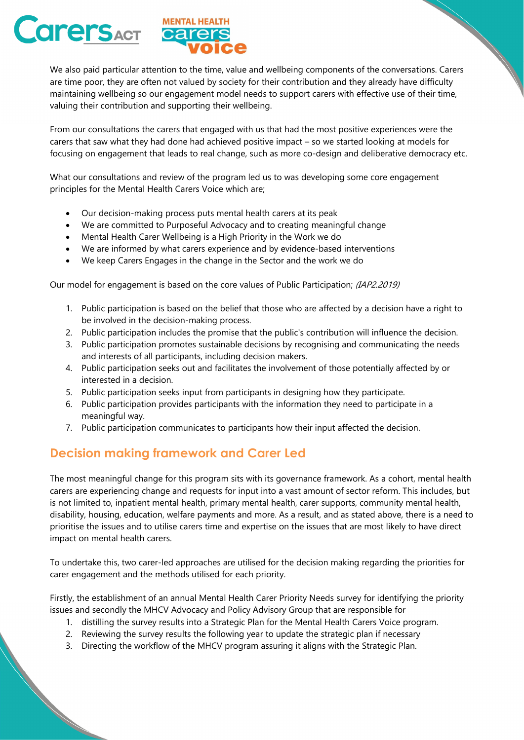



We also paid particular attention to the time, value and wellbeing components of the conversations. Carers are time poor, they are often not valued by society for their contribution and they already have difficulty maintaining wellbeing so our engagement model needs to support carers with effective use of their time, valuing their contribution and supporting their wellbeing.

From our consultations the carers that engaged with us that had the most positive experiences were the carers that saw what they had done had achieved positive impact – so we started looking at models for focusing on engagement that leads to real change, such as more co-design and deliberative democracy etc.

What our consultations and review of the program led us to was developing some core engagement principles for the Mental Health Carers Voice which are;

- Our decision-making process puts mental health carers at its peak
- We are committed to Purposeful Advocacy and to creating meaningful change
- Mental Health Carer Wellbeing is a High Priority in the Work we do
- We are informed by what carers experience and by evidence-based interventions
- We keep Carers Engages in the change in the Sector and the work we do

Our model for engagement is based on the core values of Public Participation; (IAP2.2019)

- 1. Public participation is based on the belief that those who are affected by a decision have a right to be involved in the decision-making process.
- 2. Public participation includes the promise that the public's contribution will influence the decision.
- 3. Public participation promotes sustainable decisions by recognising and communicating the needs and interests of all participants, including decision makers.
- 4. Public participation seeks out and facilitates the involvement of those potentially affected by or interested in a decision.
- 5. Public participation seeks input from participants in designing how they participate.
- 6. Public participation provides participants with the information they need to participate in a meaningful way.
- 7. Public participation communicates to participants how their input affected the decision.

## **Decision making framework and Carer Led**

The most meaningful change for this program sits with its governance framework. As a cohort, mental health carers are experiencing change and requests for input into a vast amount of sector reform. This includes, but is not limited to, inpatient mental health, primary mental health, carer supports, community mental health, disability, housing, education, welfare payments and more. As a result, and as stated above, there is a need to prioritise the issues and to utilise carers time and expertise on the issues that are most likely to have direct impact on mental health carers.

To undertake this, two carer-led approaches are utilised for the decision making regarding the priorities for carer engagement and the methods utilised for each priority.

Firstly, the establishment of an annual Mental Health Carer Priority Needs survey for identifying the priority issues and secondly the MHCV Advocacy and Policy Advisory Group that are responsible for

- 1. distilling the survey results into a Strategic Plan for the Mental Health Carers Voice program.
- 2. Reviewing the survey results the following year to update the strategic plan if necessary
- 3. Directing the workflow of the MHCV program assuring it aligns with the Strategic Plan.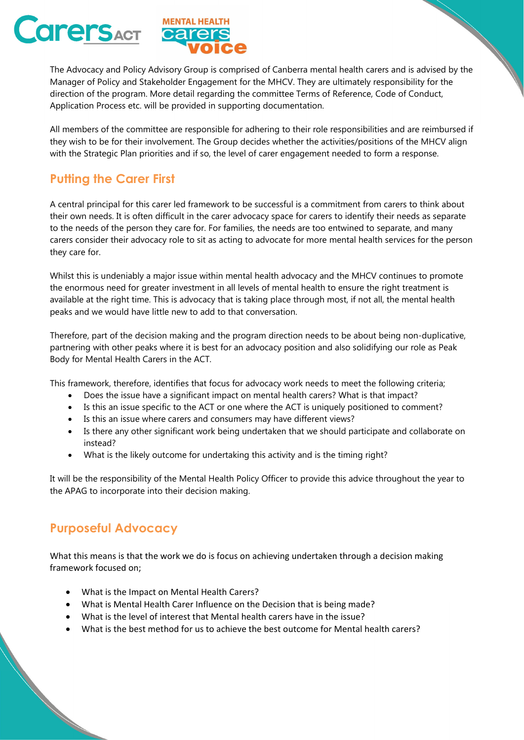



The Advocacy and Policy Advisory Group is comprised of Canberra mental health carers and is advised by the Manager of Policy and Stakeholder Engagement for the MHCV. They are ultimately responsibility for the direction of the program. More detail regarding the committee Terms of Reference, Code of Conduct, Application Process etc. will be provided in supporting documentation.

All members of the committee are responsible for adhering to their role responsibilities and are reimbursed if they wish to be for their involvement. The Group decides whether the activities/positions of the MHCV align with the Strategic Plan priorities and if so, the level of carer engagement needed to form a response.

## **Putting the Carer First**

A central principal for this carer led framework to be successful is a commitment from carers to think about their own needs. It is often difficult in the carer advocacy space for carers to identify their needs as separate to the needs of the person they care for. For families, the needs are too entwined to separate, and many carers consider their advocacy role to sit as acting to advocate for more mental health services for the person they care for.

Whilst this is undeniably a major issue within mental health advocacy and the MHCV continues to promote the enormous need for greater investment in all levels of mental health to ensure the right treatment is available at the right time. This is advocacy that is taking place through most, if not all, the mental health peaks and we would have little new to add to that conversation.

Therefore, part of the decision making and the program direction needs to be about being non-duplicative, partnering with other peaks where it is best for an advocacy position and also solidifying our role as Peak Body for Mental Health Carers in the ACT.

This framework, therefore, identifies that focus for advocacy work needs to meet the following criteria;

- Does the issue have a significant impact on mental health carers? What is that impact?
- Is this an issue specific to the ACT or one where the ACT is uniquely positioned to comment?
- Is this an issue where carers and consumers may have different views?
- Is there any other significant work being undertaken that we should participate and collaborate on instead?
- What is the likely outcome for undertaking this activity and is the timing right?

It will be the responsibility of the Mental Health Policy Officer to provide this advice throughout the year to the APAG to incorporate into their decision making.

## **Purposeful Advocacy**

What this means is that the work we do is focus on achieving undertaken through a decision making framework focused on;

- What is the Impact on Mental Health Carers?
- What is Mental Health Carer Influence on the Decision that is being made?
- What is the level of interest that Mental health carers have in the issue?
- What is the best method for us to achieve the best outcome for Mental health carers?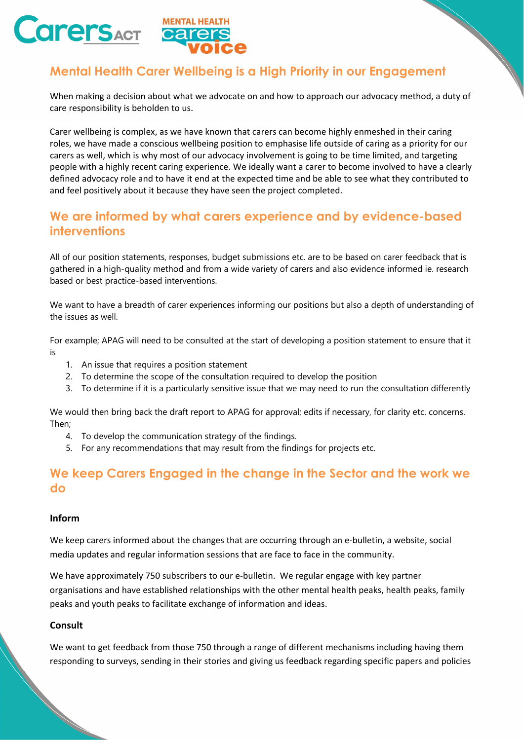



# **Mental Health Carer Wellbeing is a High Priority in our Engagement**

When making a decision about what we advocate on and how to approach our advocacy method, a duty of care responsibility is beholden to us.

Carer wellbeing is complex, as we have known that carers can become highly enmeshed in their caring roles, we have made a conscious wellbeing position to emphasise life outside of caring as a priority for our carers as well, which is why most of our advocacy involvement is going to be time limited, and targeting people with a highly recent caring experience. We ideally want a carer to become involved to have a clearly defined advocacy role and to have it end at the expected time and be able to see what they contributed to and feel positively about it because they have seen the project completed.

## **We are informed by what carers experience and by evidence-based interventions**

All of our position statements, responses, budget submissions etc. are to be based on carer feedback that is gathered in a high-quality method and from a wide variety of carers and also evidence informed ie. research based or best practice-based interventions.

We want to have a breadth of carer experiences informing our positions but also a depth of understanding of the issues as well.

For example; APAG will need to be consulted at the start of developing a position statement to ensure that it is

- 1. An issue that requires a position statement
- 2. To determine the scope of the consultation required to develop the position
- 3. To determine if it is a particularly sensitive issue that we may need to run the consultation differently

We would then bring back the draft report to APAG for approval; edits if necessary, for clarity etc. concerns. Then;

- 4. To develop the communication strategy of the findings.
- 5. For any recommendations that may result from the findings for projects etc.

### **We keep Carers Engaged in the change in the Sector and the work we do**

### **Inform**

We keep carers informed about the changes that are occurring through an e-bulletin, a website, social media updates and regular information sessions that are face to face in the community.

We have approximately 750 subscribers to our e-bulletin. We regular engage with key partner organisations and have established relationships with the other mental health peaks, health peaks, family peaks and youth peaks to facilitate exchange of information and ideas.

#### **Consult**

We want to get feedback from those 750 through a range of different mechanisms including having them responding to surveys, sending in their stories and giving us feedback regarding specific papers and policies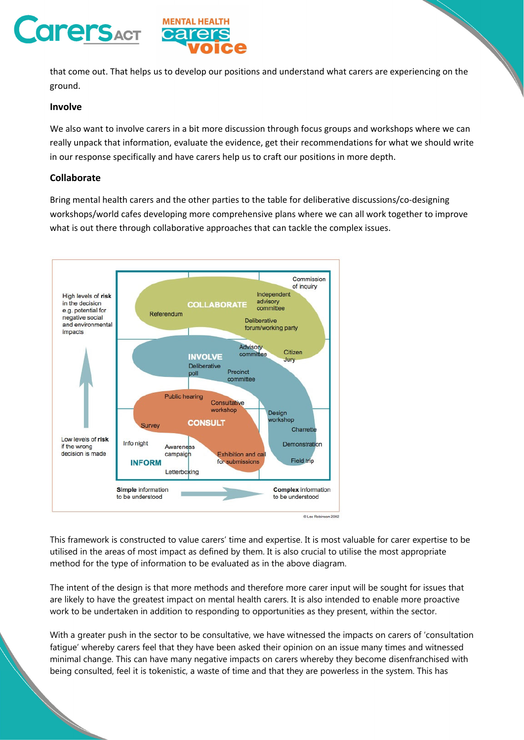



that come out. That helps us to develop our positions and understand what carers are experiencing on the ground.

#### **Involve**

We also want to involve carers in a bit more discussion through focus groups and workshops where we can really unpack that information, evaluate the evidence, get their recommendations for what we should write in our response specifically and have carers help us to craft our positions in more depth.

### **Collaborate**

Bring mental health carers and the other parties to the table for deliberative discussions/co‐designing workshops/world cafes developing more comprehensive plans where we can all work together to improve what is out there through collaborative approaches that can tackle the complex issues.



This framework is constructed to value carers' time and expertise. It is most valuable for carer expertise to be utilised in the areas of most impact as defined by them. It is also crucial to utilise the most appropriate method for the type of information to be evaluated as in the above diagram.

The intent of the design is that more methods and therefore more carer input will be sought for issues that are likely to have the greatest impact on mental health carers. It is also intended to enable more proactive work to be undertaken in addition to responding to opportunities as they present, within the sector.

With a greater push in the sector to be consultative, we have witnessed the impacts on carers of 'consultation fatigue' whereby carers feel that they have been asked their opinion on an issue many times and witnessed minimal change. This can have many negative impacts on carers whereby they become disenfranchised with being consulted, feel it is tokenistic, a waste of time and that they are powerless in the system. This has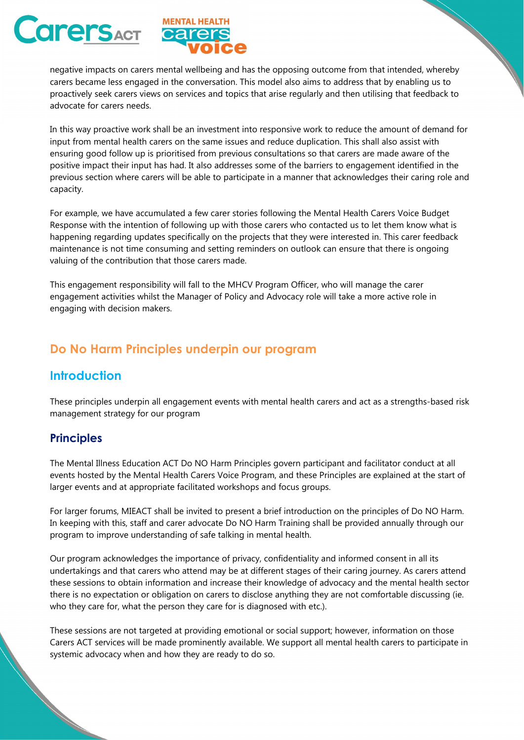



negative impacts on carers mental wellbeing and has the opposing outcome from that intended, whereby carers became less engaged in the conversation. This model also aims to address that by enabling us to proactively seek carers views on services and topics that arise regularly and then utilising that feedback to advocate for carers needs.

In this way proactive work shall be an investment into responsive work to reduce the amount of demand for input from mental health carers on the same issues and reduce duplication. This shall also assist with ensuring good follow up is prioritised from previous consultations so that carers are made aware of the positive impact their input has had. It also addresses some of the barriers to engagement identified in the previous section where carers will be able to participate in a manner that acknowledges their caring role and capacity.

For example, we have accumulated a few carer stories following the Mental Health Carers Voice Budget Response with the intention of following up with those carers who contacted us to let them know what is happening regarding updates specifically on the projects that they were interested in. This carer feedback maintenance is not time consuming and setting reminders on outlook can ensure that there is ongoing valuing of the contribution that those carers made.

This engagement responsibility will fall to the MHCV Program Officer, who will manage the carer engagement activities whilst the Manager of Policy and Advocacy role will take a more active role in engaging with decision makers.

## **Do No Harm Principles underpin our program**

## **Introduction**

These principles underpin all engagement events with mental health carers and act as a strengths-based risk management strategy for our program

### **Principles**

The Mental Illness Education ACT Do NO Harm Principles govern participant and facilitator conduct at all events hosted by the Mental Health Carers Voice Program, and these Principles are explained at the start of larger events and at appropriate facilitated workshops and focus groups.

For larger forums, MIEACT shall be invited to present a brief introduction on the principles of Do NO Harm. In keeping with this, staff and carer advocate Do NO Harm Training shall be provided annually through our program to improve understanding of safe talking in mental health.

Our program acknowledges the importance of privacy, confidentiality and informed consent in all its undertakings and that carers who attend may be at different stages of their caring journey. As carers attend these sessions to obtain information and increase their knowledge of advocacy and the mental health sector there is no expectation or obligation on carers to disclose anything they are not comfortable discussing (ie. who they care for, what the person they care for is diagnosed with etc.).

These sessions are not targeted at providing emotional or social support; however, information on those Carers ACT services will be made prominently available. We support all mental health carers to participate in systemic advocacy when and how they are ready to do so.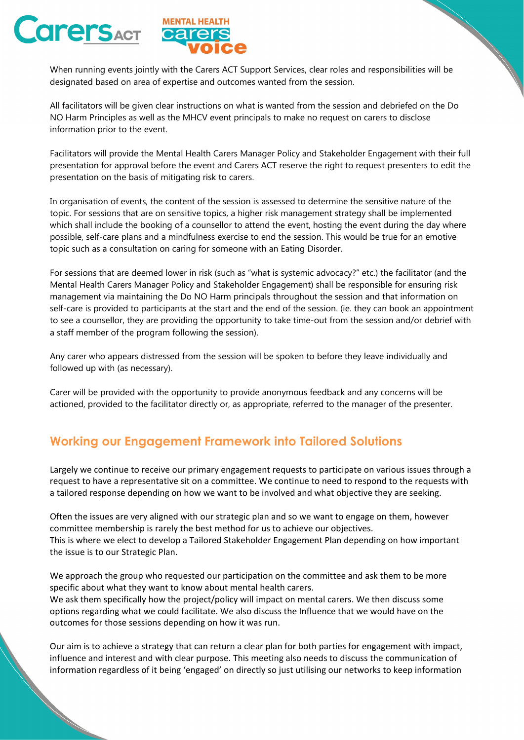



When running events jointly with the Carers ACT Support Services, clear roles and responsibilities will be designated based on area of expertise and outcomes wanted from the session.

All facilitators will be given clear instructions on what is wanted from the session and debriefed on the Do NO Harm Principles as well as the MHCV event principals to make no request on carers to disclose information prior to the event.

Facilitators will provide the Mental Health Carers Manager Policy and Stakeholder Engagement with their full presentation for approval before the event and Carers ACT reserve the right to request presenters to edit the presentation on the basis of mitigating risk to carers.

In organisation of events, the content of the session is assessed to determine the sensitive nature of the topic. For sessions that are on sensitive topics, a higher risk management strategy shall be implemented which shall include the booking of a counsellor to attend the event, hosting the event during the day where possible, self-care plans and a mindfulness exercise to end the session. This would be true for an emotive topic such as a consultation on caring for someone with an Eating Disorder.

For sessions that are deemed lower in risk (such as "what is systemic advocacy?" etc.) the facilitator (and the Mental Health Carers Manager Policy and Stakeholder Engagement) shall be responsible for ensuring risk management via maintaining the Do NO Harm principals throughout the session and that information on self-care is provided to participants at the start and the end of the session. (ie. they can book an appointment to see a counsellor, they are providing the opportunity to take time-out from the session and/or debrief with a staff member of the program following the session).

Any carer who appears distressed from the session will be spoken to before they leave individually and followed up with (as necessary).

Carer will be provided with the opportunity to provide anonymous feedback and any concerns will be actioned, provided to the facilitator directly or, as appropriate, referred to the manager of the presenter.

## **Working our Engagement Framework into Tailored Solutions**

Largely we continue to receive our primary engagement requests to participate on various issues through a request to have a representative sit on a committee. We continue to need to respond to the requests with a tailored response depending on how we want to be involved and what objective they are seeking.

Often the issues are very aligned with our strategic plan and so we want to engage on them, however committee membership is rarely the best method for us to achieve our objectives. This is where we elect to develop a Tailored Stakeholder Engagement Plan depending on how important the issue is to our Strategic Plan.

We approach the group who requested our participation on the committee and ask them to be more specific about what they want to know about mental health carers.

We ask them specifically how the project/policy will impact on mental carers. We then discuss some options regarding what we could facilitate. We also discuss the Influence that we would have on the outcomes for those sessions depending on how it was run.

Our aim is to achieve a strategy that can return a clear plan for both parties for engagement with impact, influence and interest and with clear purpose. This meeting also needs to discuss the communication of information regardless of it being 'engaged' on directly so just utilising our networks to keep information